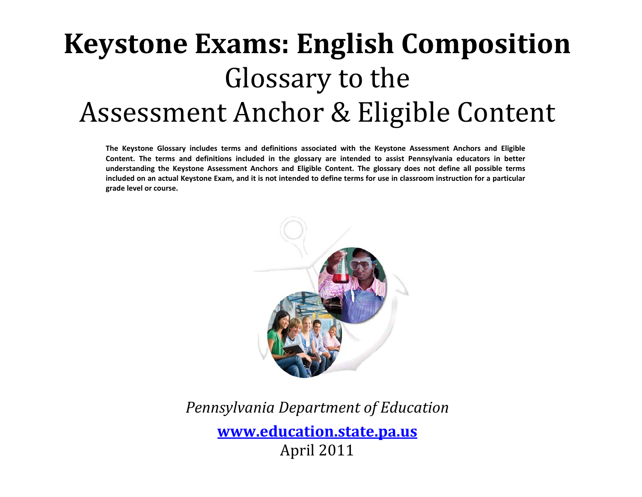# **Keystone Exams: English Composition** Glossary to the Assessment Anchor & Eligible Content

**The Keystone Glossary includes terms and definitions associated with the Keystone Assessment Anchors and Eligible** Content. The terms and definitions included in the glossary are intended to assist Pennsylvania educators in better understanding the Keystone Assessment Anchors and Eligible Content. The glossary does not define all possible terms included on an actual Keystone Exam, and it is not intended to define terms for use in classroom instruction for a particular **grade level or course.**



## *Pennsylvania Department of Education*

**www.education.state.pa.us** April 2011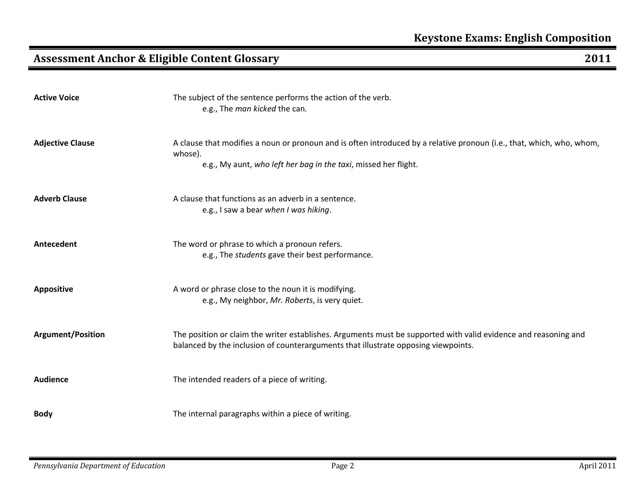**Active**

|  | ZUI1 |
|--|------|
|  |      |
|  |      |
|  |      |
|  |      |
|  |      |

|                          | e.g., The man kicked the can.                                                                                                                                                                         |
|--------------------------|-------------------------------------------------------------------------------------------------------------------------------------------------------------------------------------------------------|
| <b>Adjective Clause</b>  | A clause that modifies a noun or pronoun and is often introduced by a relative pronoun (i.e., that, which, who, whom,<br>whose).<br>e.g., My aunt, who left her bag in the taxi, missed her flight.   |
| <b>Adverb Clause</b>     | A clause that functions as an adverb in a sentence.<br>e.g., I saw a bear when I was hiking.                                                                                                          |
| Antecedent               | The word or phrase to which a pronoun refers.<br>e.g., The students gave their best performance.                                                                                                      |
| <b>Appositive</b>        | A word or phrase close to the noun it is modifying.<br>e.g., My neighbor, Mr. Roberts, is very quiet.                                                                                                 |
| <b>Argument/Position</b> | The position or claim the writer establishes. Arguments must be supported with valid evidence and reasoning and<br>balanced by the inclusion of counterarguments that illustrate opposing viewpoints. |
| <b>Audience</b>          | The intended readers of a piece of writing.                                                                                                                                                           |
| <b>Body</b>              | The internal paragraphs within a piece of writing.                                                                                                                                                    |

The subject of the sentence performs the action of the verb.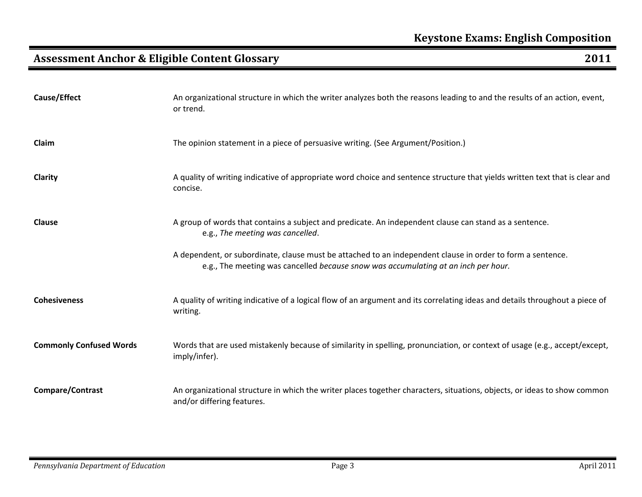| Cause/Effect                   | An organizational structure in which the writer analyzes both the reasons leading to and the results of an action, event,<br>or trend.                                                           |
|--------------------------------|--------------------------------------------------------------------------------------------------------------------------------------------------------------------------------------------------|
| Claim                          | The opinion statement in a piece of persuasive writing. (See Argument/Position.)                                                                                                                 |
| Clarity                        | A quality of writing indicative of appropriate word choice and sentence structure that yields written text that is clear and<br>concise.                                                         |
| <b>Clause</b>                  | A group of words that contains a subject and predicate. An independent clause can stand as a sentence.<br>e.g., The meeting was cancelled.                                                       |
|                                | A dependent, or subordinate, clause must be attached to an independent clause in order to form a sentence.<br>e.g., The meeting was cancelled because snow was accumulating at an inch per hour. |
| <b>Cohesiveness</b>            | A quality of writing indicative of a logical flow of an argument and its correlating ideas and details throughout a piece of<br>writing.                                                         |
| <b>Commonly Confused Words</b> | Words that are used mistakenly because of similarity in spelling, pronunciation, or context of usage (e.g., accept/except,<br>imply/infer).                                                      |
| Compare/Contrast               | An organizational structure in which the writer places together characters, situations, objects, or ideas to show common<br>and/or differing features.                                           |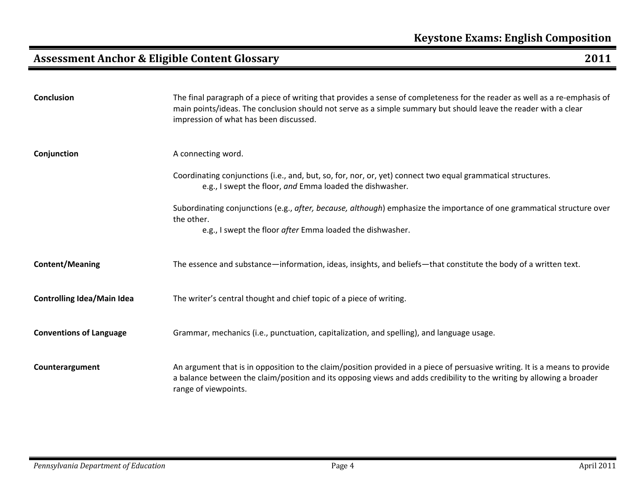| <b>Conclusion</b>                 | The final paragraph of a piece of writing that provides a sense of completeness for the reader as well as a re-emphasis of<br>main points/ideas. The conclusion should not serve as a simple summary but should leave the reader with a clear<br>impression of what has been discussed. |
|-----------------------------------|-----------------------------------------------------------------------------------------------------------------------------------------------------------------------------------------------------------------------------------------------------------------------------------------|
| Conjunction                       | A connecting word.                                                                                                                                                                                                                                                                      |
|                                   | Coordinating conjunctions (i.e., and, but, so, for, nor, or, yet) connect two equal grammatical structures.<br>e.g., I swept the floor, and Emma loaded the dishwasher.                                                                                                                 |
|                                   | Subordinating conjunctions (e.g., after, because, although) emphasize the importance of one grammatical structure over<br>the other.                                                                                                                                                    |
|                                   | e.g., I swept the floor after Emma loaded the dishwasher.                                                                                                                                                                                                                               |
| <b>Content/Meaning</b>            | The essence and substance—information, ideas, insights, and beliefs—that constitute the body of a written text.                                                                                                                                                                         |
| <b>Controlling Idea/Main Idea</b> | The writer's central thought and chief topic of a piece of writing.                                                                                                                                                                                                                     |
| <b>Conventions of Language</b>    | Grammar, mechanics (i.e., punctuation, capitalization, and spelling), and language usage.                                                                                                                                                                                               |
| Counterargument                   | An argument that is in opposition to the claim/position provided in a piece of persuasive writing. It is a means to provide<br>a balance between the claim/position and its opposing views and adds credibility to the writing by allowing a broader<br>range of viewpoints.            |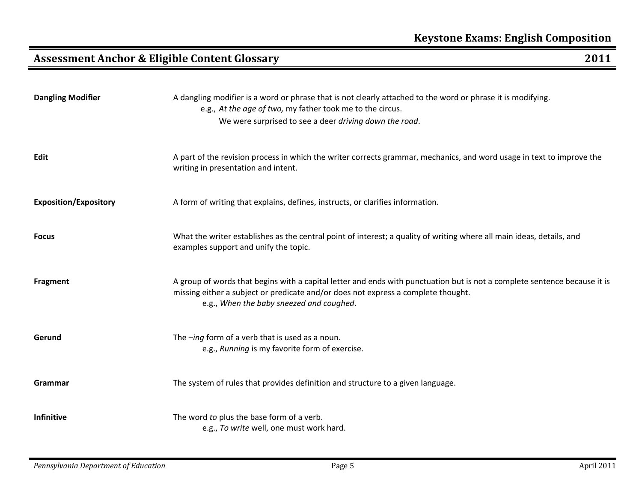| <b>Dangling Modifier</b>     | A dangling modifier is a word or phrase that is not clearly attached to the word or phrase it is modifying.<br>e.g., At the age of two, my father took me to the circus.<br>We were surprised to see a deer driving down the road.                         |
|------------------------------|------------------------------------------------------------------------------------------------------------------------------------------------------------------------------------------------------------------------------------------------------------|
| Edit                         | A part of the revision process in which the writer corrects grammar, mechanics, and word usage in text to improve the<br>writing in presentation and intent.                                                                                               |
| <b>Exposition/Expository</b> | A form of writing that explains, defines, instructs, or clarifies information.                                                                                                                                                                             |
| <b>Focus</b>                 | What the writer establishes as the central point of interest; a quality of writing where all main ideas, details, and<br>examples support and unify the topic.                                                                                             |
| <b>Fragment</b>              | A group of words that begins with a capital letter and ends with punctuation but is not a complete sentence because it is<br>missing either a subject or predicate and/or does not express a complete thought.<br>e.g., When the baby sneezed and coughed. |
| Gerund                       | The $-$ ing form of a verb that is used as a noun.<br>e.g., Running is my favorite form of exercise.                                                                                                                                                       |
| Grammar                      | The system of rules that provides definition and structure to a given language.                                                                                                                                                                            |
| Infinitive                   | The word to plus the base form of a verb.<br>e.g., To write well, one must work hard.                                                                                                                                                                      |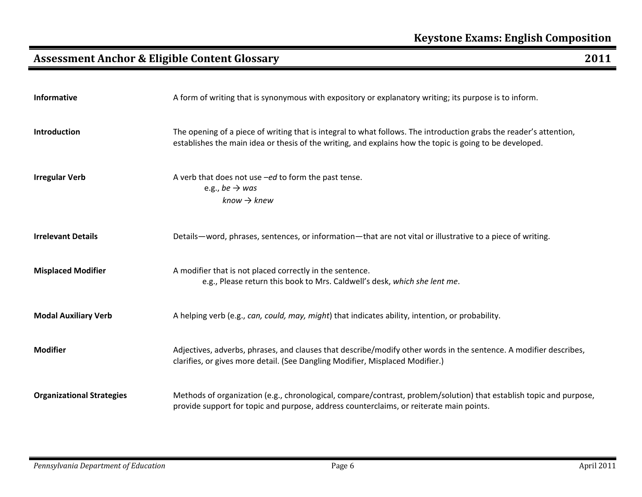| Informative                      | A form of writing that is synonymous with expository or explanatory writing; its purpose is to inform.                                                                                                                         |
|----------------------------------|--------------------------------------------------------------------------------------------------------------------------------------------------------------------------------------------------------------------------------|
| Introduction                     | The opening of a piece of writing that is integral to what follows. The introduction grabs the reader's attention,<br>establishes the main idea or thesis of the writing, and explains how the topic is going to be developed. |
| <b>Irregular Verb</b>            | A verb that does not use -ed to form the past tense.<br>e.g., be $\rightarrow$ was<br>$know \rightarrow knew$                                                                                                                  |
| <b>Irrelevant Details</b>        | Details—word, phrases, sentences, or information—that are not vital or illustrative to a piece of writing.                                                                                                                     |
| <b>Misplaced Modifier</b>        | A modifier that is not placed correctly in the sentence.<br>e.g., Please return this book to Mrs. Caldwell's desk, which she lent me.                                                                                          |
| <b>Modal Auxiliary Verb</b>      | A helping verb (e.g., can, could, may, might) that indicates ability, intention, or probability.                                                                                                                               |
| <b>Modifier</b>                  | Adjectives, adverbs, phrases, and clauses that describe/modify other words in the sentence. A modifier describes,<br>clarifies, or gives more detail. (See Dangling Modifier, Misplaced Modifier.)                             |
| <b>Organizational Strategies</b> | Methods of organization (e.g., chronological, compare/contrast, problem/solution) that establish topic and purpose,<br>provide support for topic and purpose, address counterclaims, or reiterate main points.                 |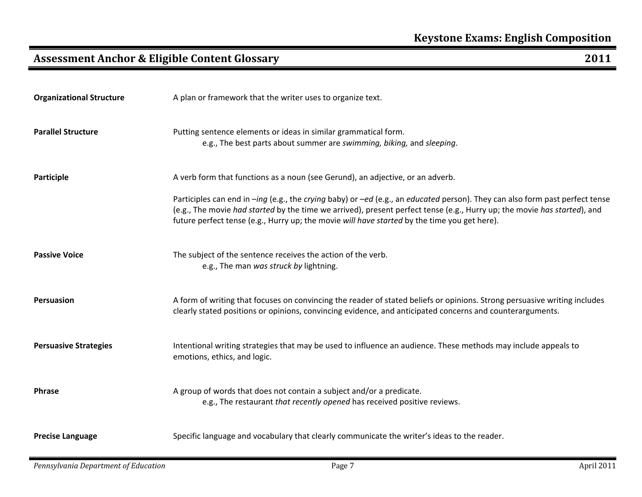| <b>Organizational Structure</b> | A plan or framework that the writer uses to organize text.                                                                                                                                                                                                                                                                                               |
|---------------------------------|----------------------------------------------------------------------------------------------------------------------------------------------------------------------------------------------------------------------------------------------------------------------------------------------------------------------------------------------------------|
| <b>Parallel Structure</b>       | Putting sentence elements or ideas in similar grammatical form.<br>e.g., The best parts about summer are swimming, biking, and sleeping.                                                                                                                                                                                                                 |
| Participle                      | A verb form that functions as a noun (see Gerund), an adjective, or an adverb.                                                                                                                                                                                                                                                                           |
|                                 | Participles can end in -ing (e.g., the crying baby) or -ed (e.g., an educated person). They can also form past perfect tense<br>(e.g., The movie had started by the time we arrived), present perfect tense (e.g., Hurry up; the movie has started), and<br>future perfect tense (e.g., Hurry up; the movie will have started by the time you get here). |
| <b>Passive Voice</b>            | The subject of the sentence receives the action of the verb.<br>e.g., The man was struck by lightning.                                                                                                                                                                                                                                                   |
| <b>Persuasion</b>               | A form of writing that focuses on convincing the reader of stated beliefs or opinions. Strong persuasive writing includes<br>clearly stated positions or opinions, convincing evidence, and anticipated concerns and counterarguments.                                                                                                                   |
| <b>Persuasive Strategies</b>    | Intentional writing strategies that may be used to influence an audience. These methods may include appeals to<br>emotions, ethics, and logic.                                                                                                                                                                                                           |
| <b>Phrase</b>                   | A group of words that does not contain a subject and/or a predicate.<br>e.g., The restaurant that recently opened has received positive reviews.                                                                                                                                                                                                         |
| <b>Precise Language</b>         | Specific language and vocabulary that clearly communicate the writer's ideas to the reader.                                                                                                                                                                                                                                                              |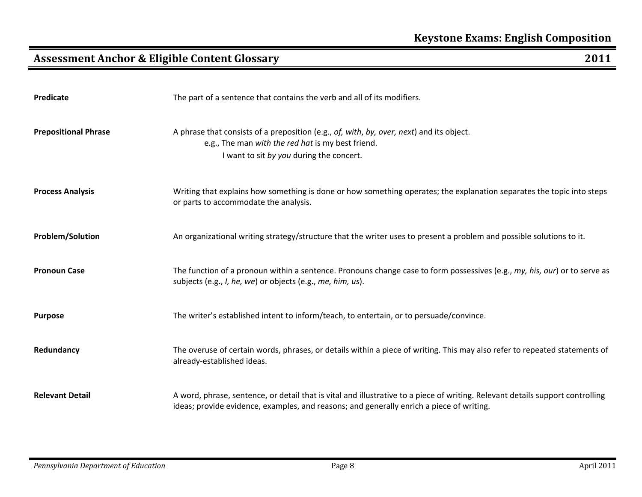| Predicate                   | The part of a sentence that contains the verb and all of its modifiers.                                                                                                                                                    |
|-----------------------------|----------------------------------------------------------------------------------------------------------------------------------------------------------------------------------------------------------------------------|
| <b>Prepositional Phrase</b> | A phrase that consists of a preposition (e.g., of, with, by, over, next) and its object.<br>e.g., The man with the red hat is my best friend.<br>I want to sit by you during the concert.                                  |
| <b>Process Analysis</b>     | Writing that explains how something is done or how something operates; the explanation separates the topic into steps<br>or parts to accommodate the analysis.                                                             |
| <b>Problem/Solution</b>     | An organizational writing strategy/structure that the writer uses to present a problem and possible solutions to it.                                                                                                       |
| <b>Pronoun Case</b>         | The function of a pronoun within a sentence. Pronouns change case to form possessives (e.g., my, his, our) or to serve as<br>subjects (e.g., I, he, we) or objects (e.g., me, him, us).                                    |
| <b>Purpose</b>              | The writer's established intent to inform/teach, to entertain, or to persuade/convince.                                                                                                                                    |
| Redundancy                  | The overuse of certain words, phrases, or details within a piece of writing. This may also refer to repeated statements of<br>already-established ideas.                                                                   |
| <b>Relevant Detail</b>      | A word, phrase, sentence, or detail that is vital and illustrative to a piece of writing. Relevant details support controlling<br>ideas; provide evidence, examples, and reasons; and generally enrich a piece of writing. |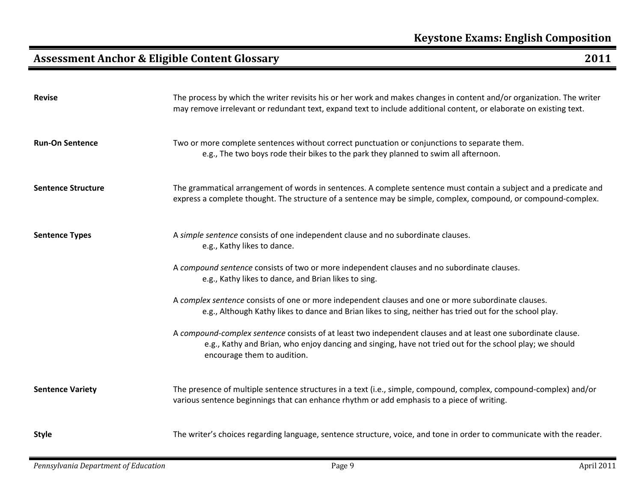| <b>Revise</b>             | The process by which the writer revisits his or her work and makes changes in content and/or organization. The writer<br>may remove irrelevant or redundant text, expand text to include additional content, or elaborate on existing text.             |
|---------------------------|---------------------------------------------------------------------------------------------------------------------------------------------------------------------------------------------------------------------------------------------------------|
| <b>Run-On Sentence</b>    | Two or more complete sentences without correct punctuation or conjunctions to separate them.<br>e.g., The two boys rode their bikes to the park they planned to swim all afternoon.                                                                     |
| <b>Sentence Structure</b> | The grammatical arrangement of words in sentences. A complete sentence must contain a subject and a predicate and<br>express a complete thought. The structure of a sentence may be simple, complex, compound, or compound-complex.                     |
| <b>Sentence Types</b>     | A simple sentence consists of one independent clause and no subordinate clauses.<br>e.g., Kathy likes to dance.                                                                                                                                         |
|                           | A compound sentence consists of two or more independent clauses and no subordinate clauses.<br>e.g., Kathy likes to dance, and Brian likes to sing.                                                                                                     |
|                           | A complex sentence consists of one or more independent clauses and one or more subordinate clauses.<br>e.g., Although Kathy likes to dance and Brian likes to sing, neither has tried out for the school play.                                          |
|                           | A compound-complex sentence consists of at least two independent clauses and at least one subordinate clause.<br>e.g., Kathy and Brian, who enjoy dancing and singing, have not tried out for the school play; we should<br>encourage them to audition. |
| <b>Sentence Variety</b>   | The presence of multiple sentence structures in a text (i.e., simple, compound, complex, compound-complex) and/or<br>various sentence beginnings that can enhance rhythm or add emphasis to a piece of writing.                                         |
| <b>Style</b>              | The writer's choices regarding language, sentence structure, voice, and tone in order to communicate with the reader.                                                                                                                                   |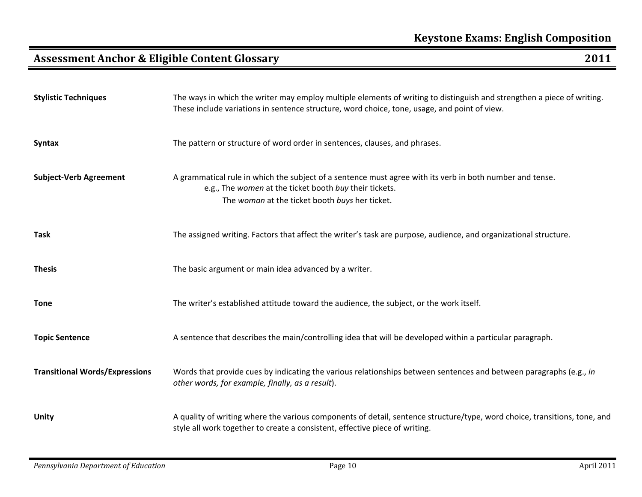| <b>Stylistic Techniques</b>           | The ways in which the writer may employ multiple elements of writing to distinguish and strengthen a piece of writing.<br>These include variations in sentence structure, word choice, tone, usage, and point of view. |
|---------------------------------------|------------------------------------------------------------------------------------------------------------------------------------------------------------------------------------------------------------------------|
| <b>Syntax</b>                         | The pattern or structure of word order in sentences, clauses, and phrases.                                                                                                                                             |
| <b>Subject-Verb Agreement</b>         | A grammatical rule in which the subject of a sentence must agree with its verb in both number and tense.<br>e.g., The women at the ticket booth buy their tickets.<br>The woman at the ticket booth buys her ticket.   |
| <b>Task</b>                           | The assigned writing. Factors that affect the writer's task are purpose, audience, and organizational structure.                                                                                                       |
| <b>Thesis</b>                         | The basic argument or main idea advanced by a writer.                                                                                                                                                                  |
| <b>Tone</b>                           | The writer's established attitude toward the audience, the subject, or the work itself.                                                                                                                                |
| <b>Topic Sentence</b>                 | A sentence that describes the main/controlling idea that will be developed within a particular paragraph.                                                                                                              |
| <b>Transitional Words/Expressions</b> | Words that provide cues by indicating the various relationships between sentences and between paragraphs (e.g., in<br>other words, for example, finally, as a result).                                                 |
| <b>Unity</b>                          | A quality of writing where the various components of detail, sentence structure/type, word choice, transitions, tone, and<br>style all work together to create a consistent, effective piece of writing.               |